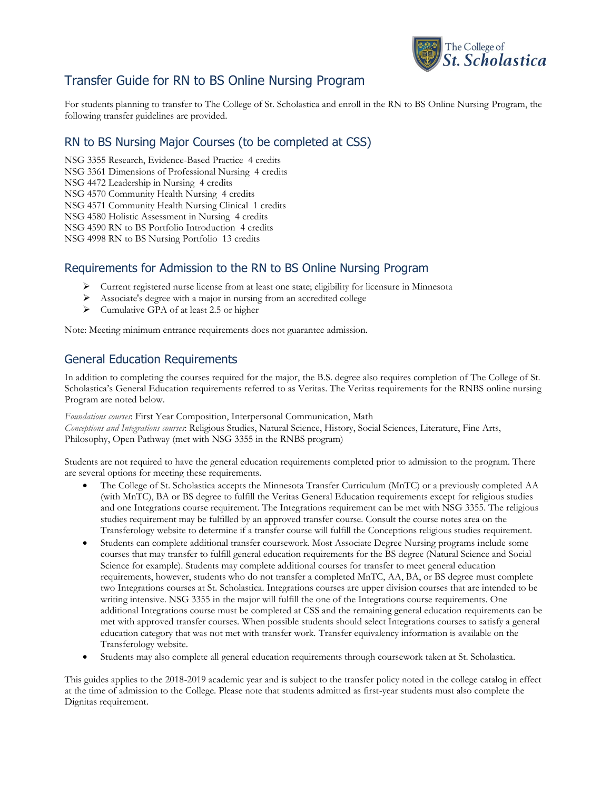

# Transfer Guide for RN to BS Online Nursing Program

For students planning to transfer to The College of St. Scholastica and enroll in the RN to BS Online Nursing Program, the following transfer guidelines are provided.

# RN to BS Nursing Major Courses (to be completed at CSS)

NSG 3355 Research, Evidence-Based Practice 4 credits

NSG 3361 Dimensions of Professional Nursing 4 credits

NSG 4472 Leadership in Nursing 4 credits

NSG 4570 Community Health Nursing 4 credits

NSG 4571 Community Health Nursing Clinical 1 credits

NSG 4580 Holistic Assessment in Nursing 4 credits

NSG 4590 RN to BS Portfolio Introduction 4 credits

NSG 4998 RN to BS Nursing Portfolio 13 credits

## Requirements for Admission to the RN to BS Online Nursing Program

- Current registered nurse license from at least one state; eligibility for licensure in Minnesota
- Associate's degree with a major in nursing from an accredited college
- $\triangleright$  Cumulative GPA of at least 2.5 or higher

Note: Meeting minimum entrance requirements does not guarantee admission.

### General Education Requirements

In addition to completing the courses required for the major, the B.S. degree also requires completion of The College of St. Scholastica's General Education requirements referred to as Veritas. The Veritas requirements for the RNBS online nursing Program are noted below.

*Foundations courses*: First Year Composition, Interpersonal Communication, Math *Conceptions and Integrations courses*: Religious Studies, Natural Science, History, Social Sciences, Literature, Fine Arts, Philosophy, Open Pathway (met with NSG 3355 in the RNBS program)

Students are not required to have the general education requirements completed prior to admission to the program. There are several options for meeting these requirements.

- The College of St. Scholastica accepts the Minnesota Transfer Curriculum (MnTC) or a previously completed AA (with MnTC), BA or BS degree to fulfill the Veritas General Education requirements except for religious studies and one Integrations course requirement. The Integrations requirement can be met with NSG 3355. The religious studies requirement may be fulfilled by an approved transfer course. Consult the course notes area on the Transferology website to determine if a transfer course will fulfill the Conceptions religious studies requirement.
- Students can complete additional transfer coursework. Most Associate Degree Nursing programs include some courses that may transfer to fulfill general education requirements for the BS degree (Natural Science and Social Science for example). Students may complete additional courses for transfer to meet general education requirements, however, students who do not transfer a completed MnTC, AA, BA, or BS degree must complete two Integrations courses at St. Scholastica. Integrations courses are upper division courses that are intended to be writing intensive. NSG 3355 in the major will fulfill the one of the Integrations course requirements. One additional Integrations course must be completed at CSS and the remaining general education requirements can be met with approved transfer courses. When possible students should select Integrations courses to satisfy a general education category that was not met with transfer work. Transfer equivalency information is available on the Transferology website.
- Students may also complete all general education requirements through coursework taken at St. Scholastica.

This guides applies to the 2018-2019 academic year and is subject to the transfer policy noted in the college catalog in effect at the time of admission to the College. Please note that students admitted as first-year students must also complete the Dignitas requirement.